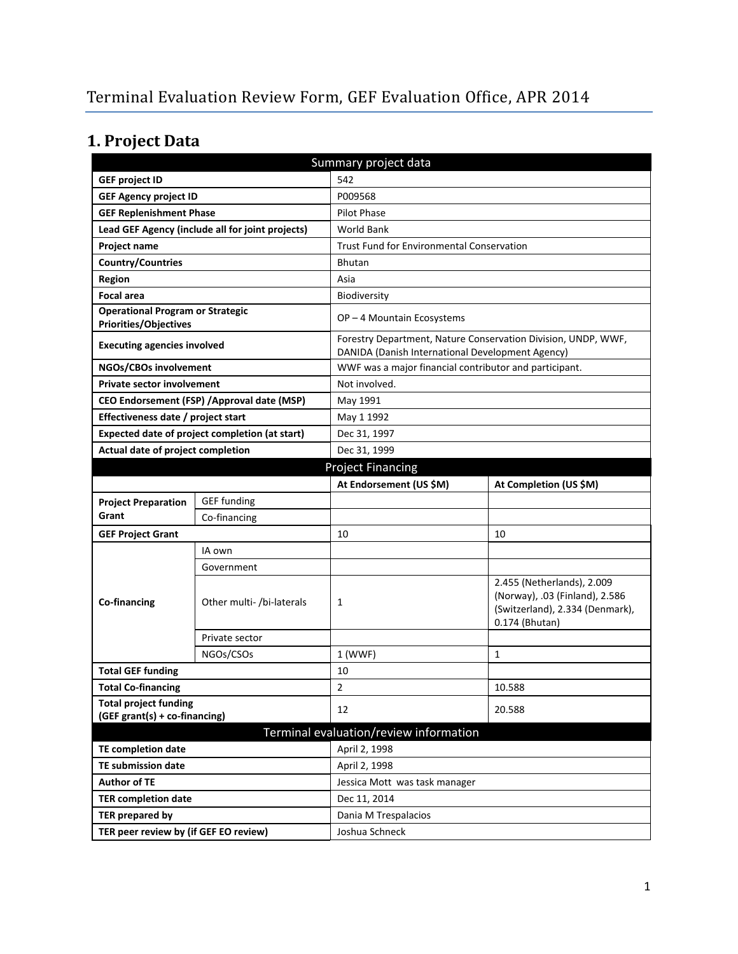# **1. Project Data**

| Summary project data                                                    |                                             |                                                        |                                                                                                                   |  |  |
|-------------------------------------------------------------------------|---------------------------------------------|--------------------------------------------------------|-------------------------------------------------------------------------------------------------------------------|--|--|
| <b>GEF project ID</b>                                                   |                                             | 542                                                    |                                                                                                                   |  |  |
| <b>GEF Agency project ID</b>                                            |                                             | P009568                                                |                                                                                                                   |  |  |
| <b>GEF Replenishment Phase</b>                                          |                                             | Pilot Phase                                            |                                                                                                                   |  |  |
| Lead GEF Agency (include all for joint projects)                        |                                             | <b>World Bank</b>                                      |                                                                                                                   |  |  |
| Project name                                                            |                                             | <b>Trust Fund for Environmental Conservation</b>       |                                                                                                                   |  |  |
| Country/Countries                                                       |                                             | <b>Bhutan</b>                                          |                                                                                                                   |  |  |
| Region                                                                  |                                             | Asia                                                   |                                                                                                                   |  |  |
| <b>Focal area</b>                                                       |                                             | Biodiversity                                           |                                                                                                                   |  |  |
| <b>Operational Program or Strategic</b><br><b>Priorities/Objectives</b> |                                             | OP-4 Mountain Ecosystems                               |                                                                                                                   |  |  |
| <b>Executing agencies involved</b>                                      |                                             |                                                        | Forestry Department, Nature Conservation Division, UNDP, WWF,<br>DANIDA (Danish International Development Agency) |  |  |
| NGOs/CBOs involvement                                                   |                                             | WWF was a major financial contributor and participant. |                                                                                                                   |  |  |
| <b>Private sector involvement</b>                                       |                                             | Not involved.                                          |                                                                                                                   |  |  |
|                                                                         | CEO Endorsement (FSP) / Approval date (MSP) | May 1991                                               |                                                                                                                   |  |  |
| Effectiveness date / project start                                      |                                             | May 1 1992                                             |                                                                                                                   |  |  |
| Expected date of project completion (at start)                          |                                             | Dec 31, 1997                                           |                                                                                                                   |  |  |
| Actual date of project completion                                       |                                             | Dec 31, 1999                                           |                                                                                                                   |  |  |
|                                                                         |                                             | <b>Project Financing</b>                               |                                                                                                                   |  |  |
|                                                                         |                                             | At Endorsement (US \$M)                                | At Completion (US \$M)                                                                                            |  |  |
| <b>Project Preparation</b>                                              | <b>GEF funding</b>                          |                                                        |                                                                                                                   |  |  |
| Grant                                                                   | Co-financing                                |                                                        |                                                                                                                   |  |  |
| <b>GEF Project Grant</b>                                                |                                             | 10                                                     | 10                                                                                                                |  |  |
|                                                                         | IA own                                      |                                                        |                                                                                                                   |  |  |
|                                                                         | Government                                  |                                                        |                                                                                                                   |  |  |
| Co-financing                                                            | Other multi- /bi-laterals                   | $\mathbf{1}$                                           | 2.455 (Netherlands), 2.009<br>(Norway), .03 (Finland), 2.586<br>(Switzerland), 2.334 (Denmark),<br>0.174 (Bhutan) |  |  |
|                                                                         | Private sector                              |                                                        |                                                                                                                   |  |  |
|                                                                         | NGOs/CSOs                                   | 1 (WWF)                                                | $\mathbf{1}$                                                                                                      |  |  |
| <b>Total GEF funding</b>                                                |                                             | 10                                                     |                                                                                                                   |  |  |
| <b>Total Co-financing</b>                                               |                                             | 2                                                      | 10.588                                                                                                            |  |  |
| <b>Total project funding</b><br>(GEF grant(s) + co-financing)           |                                             | 12                                                     | 20.588                                                                                                            |  |  |
|                                                                         |                                             | Terminal evaluation/review information                 |                                                                                                                   |  |  |
| <b>TE completion date</b>                                               |                                             | April 2, 1998                                          |                                                                                                                   |  |  |
| <b>TE submission date</b>                                               |                                             | April 2, 1998                                          |                                                                                                                   |  |  |
| <b>Author of TE</b>                                                     |                                             | Jessica Mott was task manager                          |                                                                                                                   |  |  |
| <b>TER completion date</b>                                              |                                             | Dec 11, 2014                                           |                                                                                                                   |  |  |
| TER prepared by                                                         |                                             | Dania M Trespalacios                                   |                                                                                                                   |  |  |
| TER peer review by (if GEF EO review)                                   |                                             | Joshua Schneck                                         |                                                                                                                   |  |  |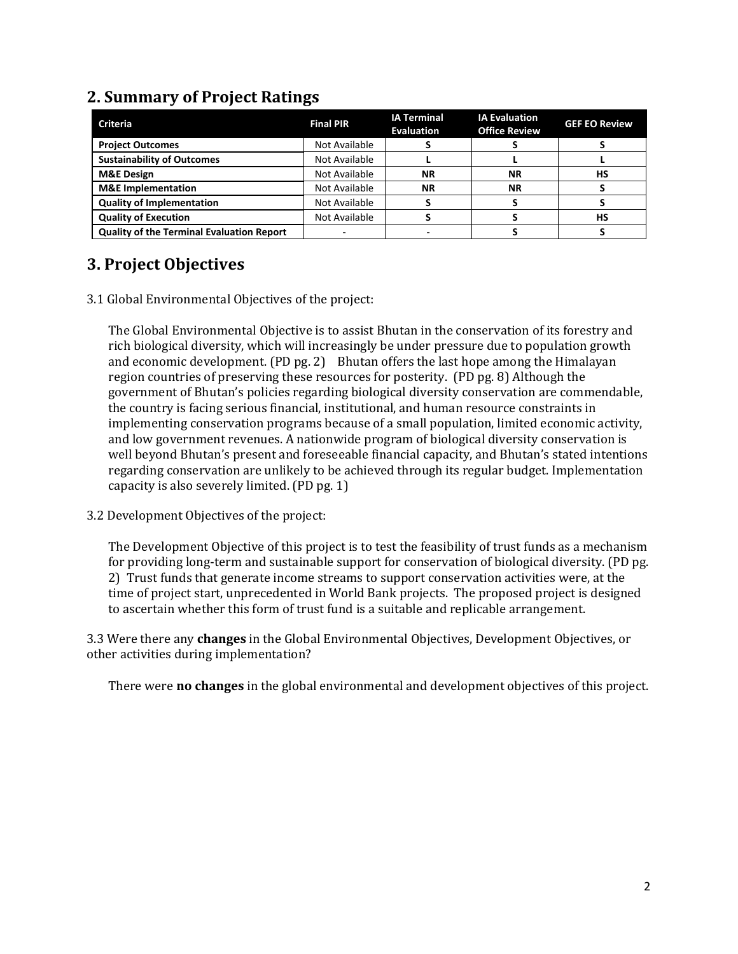| <b>Criteria</b>                                  | <b>Final PIR</b> | <b>IA Terminal</b><br><b>Evaluation</b> | <b>IA Evaluation</b><br><b>Office Review</b> | <b>GEF EO Review</b> |
|--------------------------------------------------|------------------|-----------------------------------------|----------------------------------------------|----------------------|
| <b>Project Outcomes</b>                          | Not Available    |                                         |                                              |                      |
| <b>Sustainability of Outcomes</b>                | Not Available    |                                         |                                              |                      |
| <b>M&amp;E Design</b>                            | Not Available    | ΝR                                      | <b>NR</b>                                    | HS                   |
| <b>M&amp;E</b> Implementation                    | Not Available    | ΝR                                      | <b>NR</b>                                    |                      |
| <b>Quality of Implementation</b>                 | Not Available    |                                         |                                              |                      |
| <b>Quality of Execution</b>                      | Not Available    |                                         |                                              | НS                   |
| <b>Quality of the Terminal Evaluation Report</b> |                  |                                         |                                              |                      |

### **2. Summary of Project Ratings**

### **3. Project Objectives**

3.1 Global Environmental Objectives of the project:

The Global Environmental Objective is to assist Bhutan in the conservation of its forestry and rich biological diversity, which will increasingly be under pressure due to population growth and economic development. (PD pg. 2) Bhutan offers the last hope among the Himalayan region countries of preserving these resources for posterity. (PD pg. 8) Although the government of Bhutan's policies regarding biological diversity conservation are commendable, the country is facing serious financial, institutional, and human resource constraints in implementing conservation programs because of a small population, limited economic activity, and low government revenues. A nationwide program of biological diversity conservation is well beyond Bhutan's present and foreseeable financial capacity, and Bhutan's stated intentions regarding conservation are unlikely to be achieved through its regular budget. Implementation capacity is also severely limited. (PD pg. 1)

#### 3.2 Development Objectives of the project:

The Development Objective of this project is to test the feasibility of trust funds as a mechanism for providing long-term and sustainable support for conservation of biological diversity. (PD pg. 2) Trust funds that generate income streams to support conservation activities were, at the time of project start, unprecedented in World Bank projects. The proposed project is designed to ascertain whether this form of trust fund is a suitable and replicable arrangement.

3.3 Were there any **changes** in the Global Environmental Objectives, Development Objectives, or other activities during implementation?

There were **no changes** in the global environmental and development objectives of this project.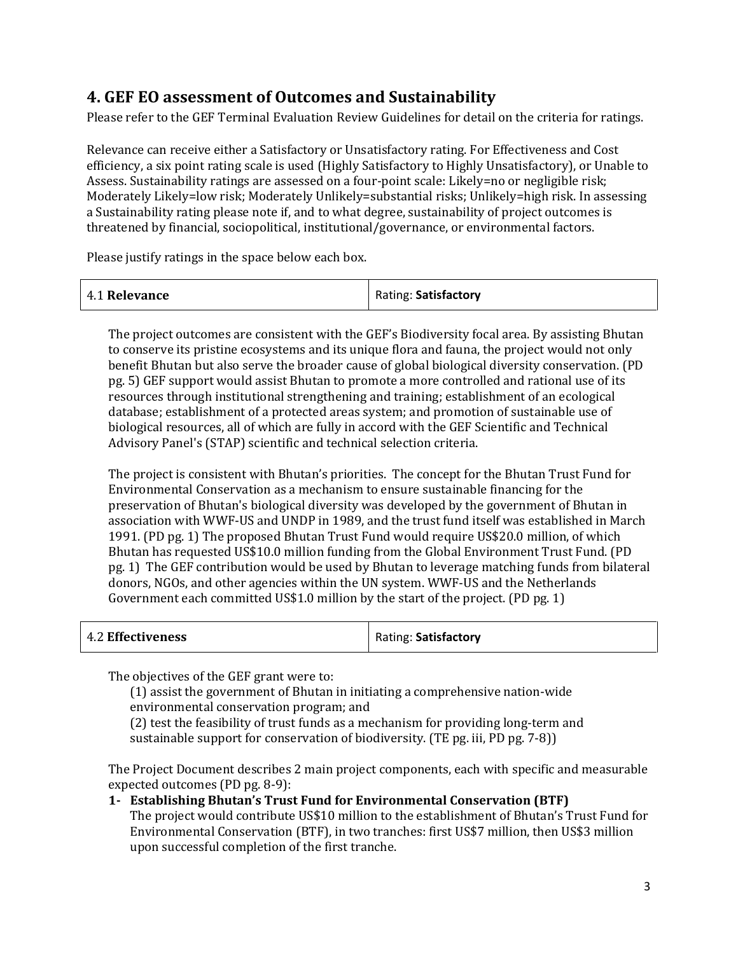### **4. GEF EO assessment of Outcomes and Sustainability**

Please refer to the GEF Terminal Evaluation Review Guidelines for detail on the criteria for ratings.

Relevance can receive either a Satisfactory or Unsatisfactory rating. For Effectiveness and Cost efficiency, a six point rating scale is used (Highly Satisfactory to Highly Unsatisfactory), or Unable to Assess. Sustainability ratings are assessed on a four-point scale: Likely=no or negligible risk; Moderately Likely=low risk; Moderately Unlikely=substantial risks; Unlikely=high risk. In assessing a Sustainability rating please note if, and to what degree, sustainability of project outcomes is threatened by financial, sociopolitical, institutional/governance, or environmental factors.

Please justify ratings in the space below each box.

| 4.1 Relevance | Rating: Satisfactory |
|---------------|----------------------|
|---------------|----------------------|

The project outcomes are consistent with the GEF's Biodiversity focal area. By assisting Bhutan to conserve its pristine ecosystems and its unique flora and fauna, the project would not only benefit Bhutan but also serve the broader cause of global biological diversity conservation. (PD pg. 5) GEF support would assist Bhutan to promote a more controlled and rational use of its resources through institutional strengthening and training; establishment of an ecological database; establishment of a protected areas system; and promotion of sustainable use of biological resources, all of which are fully in accord with the GEF Scientific and Technical Advisory Panel's (STAP) scientific and technical selection criteria.

The project is consistent with Bhutan's priorities. The concept for the Bhutan Trust Fund for Environmental Conservation as a mechanism to ensure sustainable financing for the preservation of Bhutan's biological diversity was developed by the government of Bhutan in association with WWF-US and UNDP in 1989, and the trust fund itself was established in March 1991. (PD pg. 1) The proposed Bhutan Trust Fund would require US\$20.0 million, of which Bhutan has requested US\$10.0 million funding from the Global Environment Trust Fund. (PD pg. 1) The GEF contribution would be used by Bhutan to leverage matching funds from bilateral donors, NGOs, and other agencies within the UN system. WWF-US and the Netherlands Government each committed US\$1.0 million by the start of the project. (PD pg. 1)

| 4.2 Effectiveness | Rating: Satisfactory |
|-------------------|----------------------|
|-------------------|----------------------|

The objectives of the GEF grant were to:

(1) assist the government of Bhutan in initiating a comprehensive nation-wide environmental conservation program; and

(2) test the feasibility of trust funds as a mechanism for providing long-term and sustainable support for conservation of biodiversity. (TE pg. iii, PD pg. 7-8))

The Project Document describes 2 main project components, each with specific and measurable expected outcomes (PD pg. 8-9):

**1- Establishing Bhutan's Trust Fund for Environmental Conservation (BTF)**  The project would contribute US\$10 million to the establishment of Bhutan's Trust Fund for Environmental Conservation (BTF), in two tranches: first US\$7 million, then US\$3 million upon successful completion of the first tranche.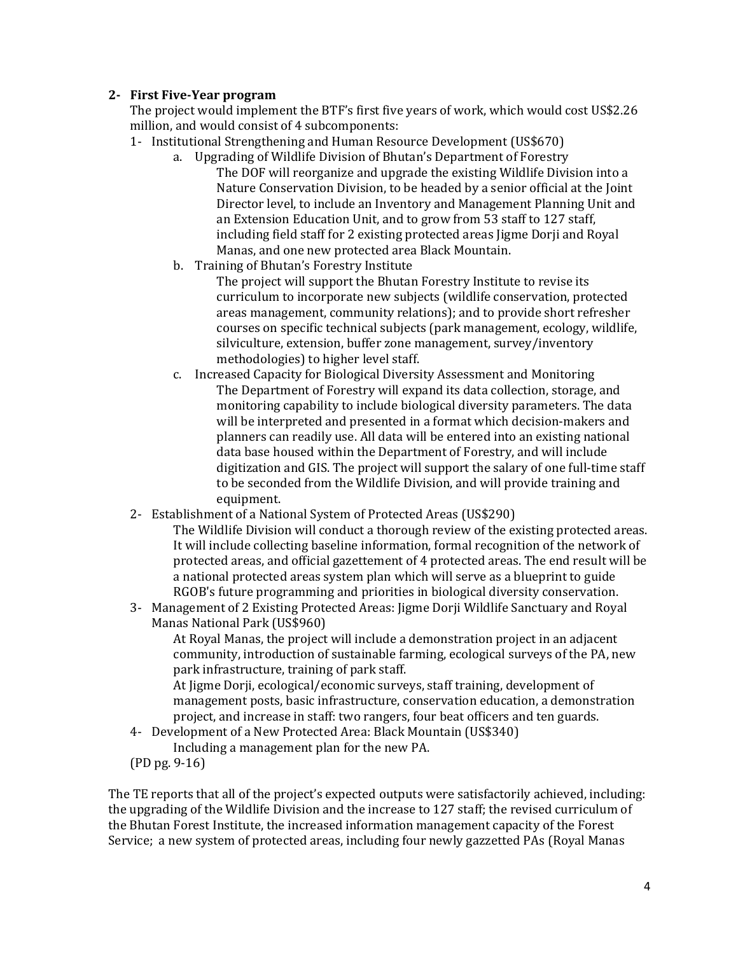#### **2- First Five-Year program**

The project would implement the BTF's first five years of work, which would cost US\$2.26 million, and would consist of 4 subcomponents:

- 1- Institutional Strengthening and Human Resource Development (US\$670)
	- a. Upgrading of Wildlife Division of Bhutan's Department of Forestry The DOF will reorganize and upgrade the existing Wildlife Division into a Nature Conservation Division, to be headed by a senior official at the Joint Director level, to include an Inventory and Management Planning Unit and an Extension Education Unit, and to grow from 53 staff to 127 staff, including field staff for 2 existing protected areas Jigme Dorji and Royal Manas, and one new protected area Black Mountain.
	- b. Training of Bhutan's Forestry Institute

The project will support the Bhutan Forestry Institute to revise its curriculum to incorporate new subjects (wildlife conservation, protected areas management, community relations); and to provide short refresher courses on specific technical subjects (park management, ecology, wildlife, silviculture, extension, buffer zone management, survey/inventory methodologies) to higher level staff.

- c. Increased Capacity for Biological Diversity Assessment and Monitoring The Department of Forestry will expand its data collection, storage, and monitoring capability to include biological diversity parameters. The data will be interpreted and presented in a format which decision-makers and planners can readily use. All data will be entered into an existing national data base housed within the Department of Forestry, and will include digitization and GIS. The project will support the salary of one full-time staff to be seconded from the Wildlife Division, and will provide training and equipment.
- 2- Establishment of a National System of Protected Areas (US\$290)
	- The Wildlife Division will conduct a thorough review of the existing protected areas. It will include collecting baseline information, formal recognition of the network of protected areas, and official gazettement of 4 protected areas. The end result will be a national protected areas system plan which will serve as a blueprint to guide RGOB's future programming and priorities in biological diversity conservation.
- 3- Management of 2 Existing Protected Areas: Jigme Dorji Wildlife Sanctuary and Royal Manas National Park (US\$960)

At Royal Manas, the project will include a demonstration project in an adjacent community, introduction of sustainable farming, ecological surveys of the PA, new park infrastructure, training of park staff.

At Jigme Dorji, ecological/economic surveys, staff training, development of management posts, basic infrastructure, conservation education, a demonstration project, and increase in staff: two rangers, four beat officers and ten guards.

- 4- Development of a New Protected Area: Black Mountain (US\$340) Including a management plan for the new PA.
- (PD pg. 9-16)

The TE reports that all of the project's expected outputs were satisfactorily achieved, including: the upgrading of the Wildlife Division and the increase to 127 staff; the revised curriculum of the Bhutan Forest Institute, the increased information management capacity of the Forest Service; a new system of protected areas, including four newly gazzetted PAs (Royal Manas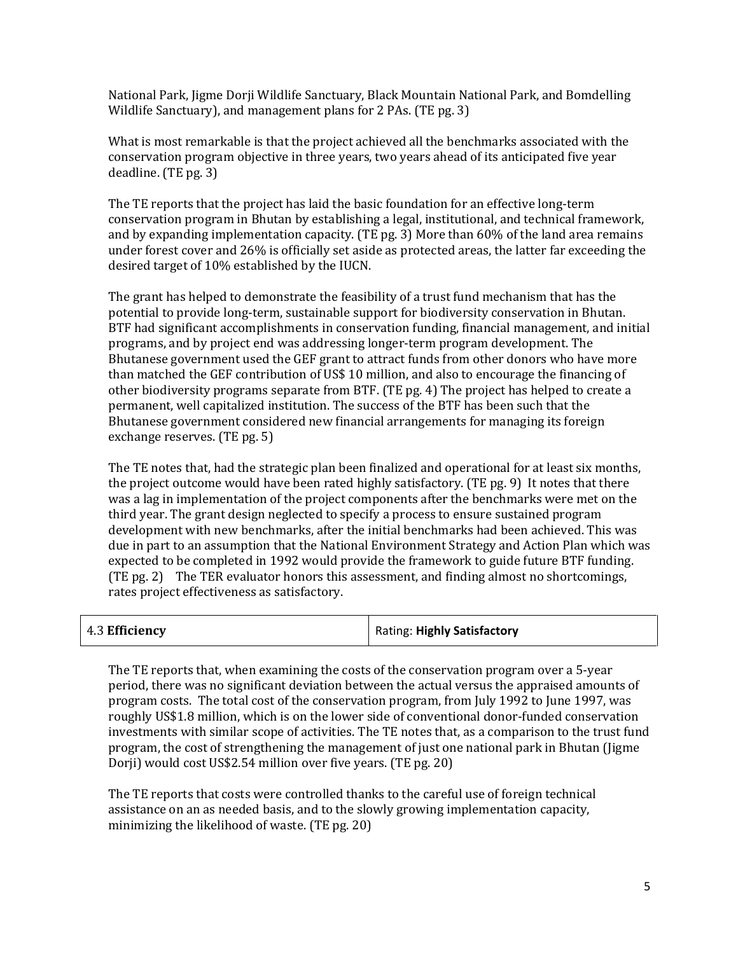National Park, Jigme Dorji Wildlife Sanctuary, Black Mountain National Park, and Bomdelling Wildlife Sanctuary), and management plans for 2 PAs. (TE pg. 3)

What is most remarkable is that the project achieved all the benchmarks associated with the conservation program objective in three years, two years ahead of its anticipated five year deadline. (TE pg. 3)

The TE reports that the project has laid the basic foundation for an effective long-term conservation program in Bhutan by establishing a legal, institutional, and technical framework, and by expanding implementation capacity. (TE pg. 3) More than 60% of the land area remains under forest cover and 26% is officially set aside as protected areas, the latter far exceeding the desired target of 10% established by the IUCN.

The grant has helped to demonstrate the feasibility of a trust fund mechanism that has the potential to provide long-term, sustainable support for biodiversity conservation in Bhutan. BTF had significant accomplishments in conservation funding, financial management, and initial programs, and by project end was addressing longer-term program development. The Bhutanese government used the GEF grant to attract funds from other donors who have more than matched the GEF contribution of US\$ 10 million, and also to encourage the financing of other biodiversity programs separate from BTF. (TE pg. 4) The project has helped to create a permanent, well capitalized institution. The success of the BTF has been such that the Bhutanese government considered new financial arrangements for managing its foreign exchange reserves. (TE pg. 5)

The TE notes that, had the strategic plan been finalized and operational for at least six months, the project outcome would have been rated highly satisfactory. (TE pg. 9) It notes that there was a lag in implementation of the project components after the benchmarks were met on the third year. The grant design neglected to specify a process to ensure sustained program development with new benchmarks, after the initial benchmarks had been achieved. This was due in part to an assumption that the National Environment Strategy and Action Plan which was expected to be completed in 1992 would provide the framework to guide future BTF funding. (TE pg. 2) The TER evaluator honors this assessment, and finding almost no shortcomings, rates project effectiveness as satisfactory.

| Rating: Highly Satisfactory |
|-----------------------------|
|                             |

The TE reports that, when examining the costs of the conservation program over a 5-year period, there was no significant deviation between the actual versus the appraised amounts of program costs. The total cost of the conservation program, from July 1992 to June 1997, was roughly US\$1.8 million, which is on the lower side of conventional donor-funded conservation investments with similar scope of activities. The TE notes that, as a comparison to the trust fund program, the cost of strengthening the management of just one national park in Bhutan (Jigme Dorji) would cost US\$2.54 million over five years. (TE pg. 20)

The TE reports that costs were controlled thanks to the careful use of foreign technical assistance on an as needed basis, and to the slowly growing implementation capacity, minimizing the likelihood of waste. (TE pg. 20)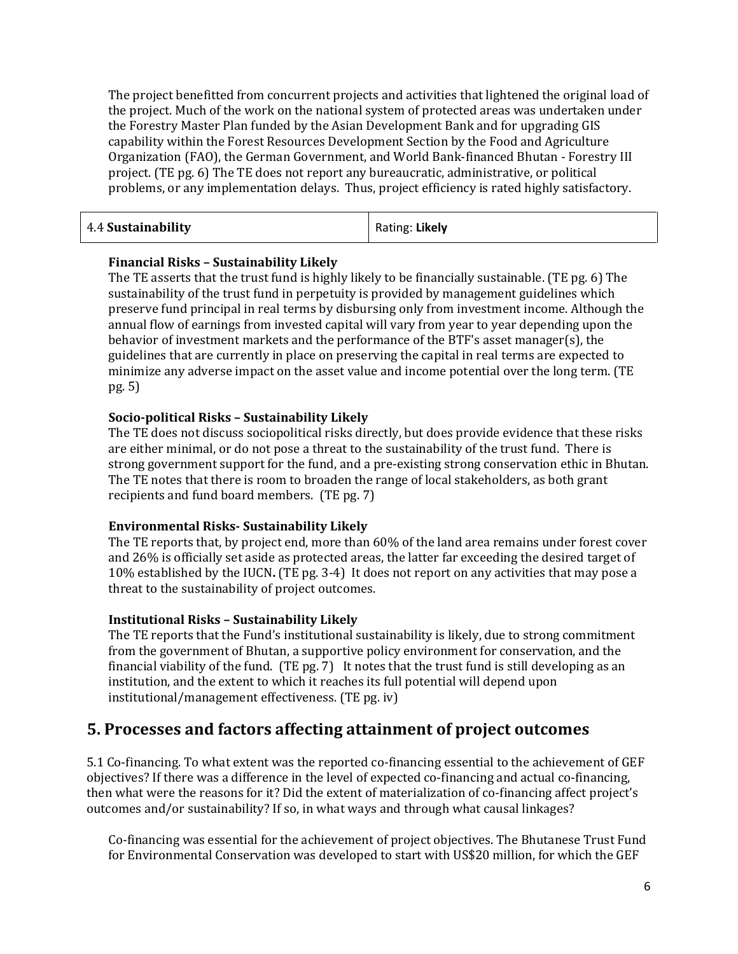The project benefitted from concurrent projects and activities that lightened the original load of the project. Much of the work on the national system of protected areas was undertaken under the Forestry Master Plan funded by the Asian Development Bank and for upgrading GIS capability within the Forest Resources Development Section by the Food and Agriculture Organization (FAO), the German Government, and World Bank-financed Bhutan - Forestry III project. (TE pg. 6) The TE does not report any bureaucratic, administrative, or political problems, or any implementation delays. Thus, project efficiency is rated highly satisfactory.

| Rating: Likely<br>4.4 Sustainability |  |  |
|--------------------------------------|--|--|
|--------------------------------------|--|--|

#### **Financial Risks – Sustainability Likely**

The TE asserts that the trust fund is highly likely to be financially sustainable. (TE pg. 6) The sustainability of the trust fund in perpetuity is provided by management guidelines which preserve fund principal in real terms by disbursing only from investment income. Although the annual flow of earnings from invested capital will vary from year to year depending upon the behavior of investment markets and the performance of the BTF's asset manager(s), the guidelines that are currently in place on preserving the capital in real terms are expected to minimize any adverse impact on the asset value and income potential over the long term. (TE pg. 5)

#### **Socio-political Risks – Sustainability Likely**

The TE does not discuss sociopolitical risks directly, but does provide evidence that these risks are either minimal, or do not pose a threat to the sustainability of the trust fund. There is strong government support for the fund, and a pre-existing strong conservation ethic in Bhutan. The TE notes that there is room to broaden the range of local stakeholders, as both grant recipients and fund board members. (TE pg. 7)

#### **Environmental Risks- Sustainability Likely**

The TE reports that, by project end, more than 60% of the land area remains under forest cover and 26% is officially set aside as protected areas, the latter far exceeding the desired target of 10% established by the IUCN**.** (TE pg. 3-4) It does not report on any activities that may pose a threat to the sustainability of project outcomes.

#### **Institutional Risks – Sustainability Likely**

The TE reports that the Fund's institutional sustainability is likely, due to strong commitment from the government of Bhutan, a supportive policy environment for conservation, and the financial viability of the fund. (TE pg. 7) It notes that the trust fund is still developing as an institution, and the extent to which it reaches its full potential will depend upon institutional/management effectiveness. (TE pg. iv)

### **5. Processes and factors affecting attainment of project outcomes**

5.1 Co-financing. To what extent was the reported co-financing essential to the achievement of GEF objectives? If there was a difference in the level of expected co-financing and actual co-financing, then what were the reasons for it? Did the extent of materialization of co-financing affect project's outcomes and/or sustainability? If so, in what ways and through what causal linkages?

Co-financing was essential for the achievement of project objectives. The Bhutanese Trust Fund for Environmental Conservation was developed to start with US\$20 million, for which the GEF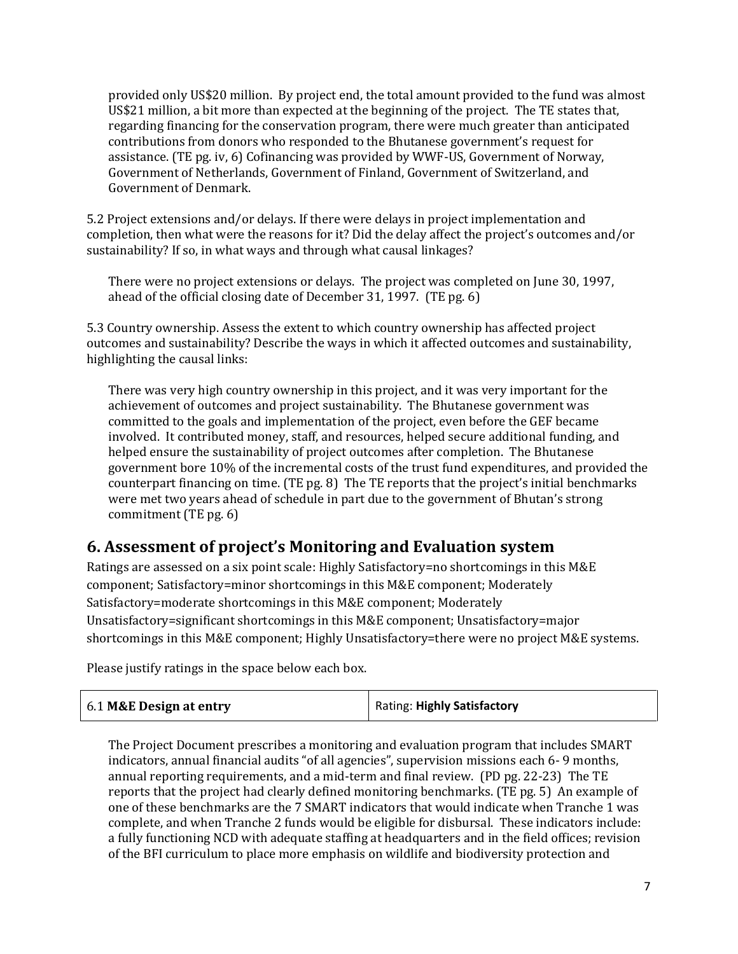provided only US\$20 million. By project end, the total amount provided to the fund was almost US\$21 million, a bit more than expected at the beginning of the project. The TE states that, regarding financing for the conservation program, there were much greater than anticipated contributions from donors who responded to the Bhutanese government's request for assistance. (TE pg. iv, 6) Cofinancing was provided by WWF-US, Government of Norway, Government of Netherlands, Government of Finland, Government of Switzerland, and Government of Denmark.

5.2 Project extensions and/or delays. If there were delays in project implementation and completion, then what were the reasons for it? Did the delay affect the project's outcomes and/or sustainability? If so, in what ways and through what causal linkages?

There were no project extensions or delays. The project was completed on June 30, 1997, ahead of the official closing date of December 31, 1997. (TE pg. 6)

5.3 Country ownership. Assess the extent to which country ownership has affected project outcomes and sustainability? Describe the ways in which it affected outcomes and sustainability, highlighting the causal links:

There was very high country ownership in this project, and it was very important for the achievement of outcomes and project sustainability. The Bhutanese government was committed to the goals and implementation of the project, even before the GEF became involved. It contributed money, staff, and resources, helped secure additional funding, and helped ensure the sustainability of project outcomes after completion. The Bhutanese government bore 10% of the incremental costs of the trust fund expenditures, and provided the counterpart financing on time. (TE pg. 8) The TE reports that the project's initial benchmarks were met two years ahead of schedule in part due to the government of Bhutan's strong commitment (TE pg. 6)

### **6. Assessment of project's Monitoring and Evaluation system**

Ratings are assessed on a six point scale: Highly Satisfactory=no shortcomings in this M&E component; Satisfactory=minor shortcomings in this M&E component; Moderately Satisfactory=moderate shortcomings in this M&E component; Moderately Unsatisfactory=significant shortcomings in this M&E component; Unsatisfactory=major shortcomings in this M&E component; Highly Unsatisfactory=there were no project M&E systems.

Please justify ratings in the space below each box.

| 6.1 M&E Design at entry | Rating: Highly Satisfactory |
|-------------------------|-----------------------------|
|-------------------------|-----------------------------|

The Project Document prescribes a monitoring and evaluation program that includes SMART indicators, annual financial audits "of all agencies", supervision missions each 6- 9 months, annual reporting requirements, and a mid-term and final review. (PD pg. 22-23) The TE reports that the project had clearly defined monitoring benchmarks. (TE pg. 5) An example of one of these benchmarks are the 7 SMART indicators that would indicate when Tranche 1 was complete, and when Tranche 2 funds would be eligible for disbursal. These indicators include: a fully functioning NCD with adequate staffing at headquarters and in the field offices; revision of the BFI curriculum to place more emphasis on wildlife and biodiversity protection and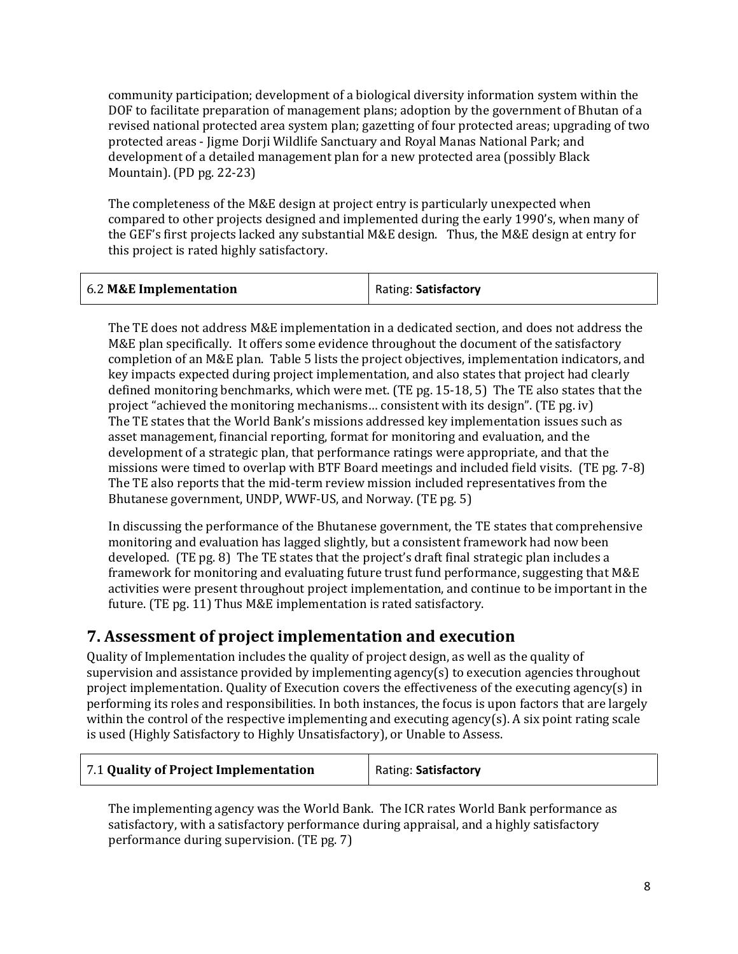community participation; development of a biological diversity information system within the DOF to facilitate preparation of management plans; adoption by the government of Bhutan of a revised national protected area system plan; gazetting of four protected areas; upgrading of two protected areas - Jigme Dorji Wildlife Sanctuary and Royal Manas National Park; and development of a detailed management plan for a new protected area (possibly Black Mountain). (PD pg. 22-23)

The completeness of the M&E design at project entry is particularly unexpected when compared to other projects designed and implemented during the early 1990's, when many of the GEF's first projects lacked any substantial M&E design. Thus, the M&E design at entry for this project is rated highly satisfactory.

| 6.2 M&E Implementation | Rating: Satisfactory |
|------------------------|----------------------|
|                        |                      |

The TE does not address M&E implementation in a dedicated section, and does not address the M&E plan specifically. It offers some evidence throughout the document of the satisfactory completion of an M&E plan. Table 5 lists the project objectives, implementation indicators, and key impacts expected during project implementation, and also states that project had clearly defined monitoring benchmarks, which were met. (TE pg. 15-18, 5) The TE also states that the project "achieved the monitoring mechanisms… consistent with its design". (TE pg. iv) The TE states that the World Bank's missions addressed key implementation issues such as asset management, financial reporting, format for monitoring and evaluation, and the development of a strategic plan, that performance ratings were appropriate, and that the missions were timed to overlap with BTF Board meetings and included field visits. (TE pg. 7-8) The TE also reports that the mid-term review mission included representatives from the Bhutanese government, UNDP, WWF-US, and Norway. (TE pg. 5)

In discussing the performance of the Bhutanese government, the TE states that comprehensive monitoring and evaluation has lagged slightly, but a consistent framework had now been developed. (TE pg. 8) The TE states that the project's draft final strategic plan includes a framework for monitoring and evaluating future trust fund performance, suggesting that M&E activities were present throughout project implementation, and continue to be important in the future. (TE pg. 11) Thus M&E implementation is rated satisfactory.

### **7. Assessment of project implementation and execution**

Quality of Implementation includes the quality of project design, as well as the quality of supervision and assistance provided by implementing agency(s) to execution agencies throughout project implementation. Quality of Execution covers the effectiveness of the executing agency(s) in performing its roles and responsibilities. In both instances, the focus is upon factors that are largely within the control of the respective implementing and executing agency(s). A six point rating scale is used (Highly Satisfactory to Highly Unsatisfactory), or Unable to Assess.

| 7.1 Quality of Project Implementation | Rating: Satisfactory |
|---------------------------------------|----------------------|
|---------------------------------------|----------------------|

The implementing agency was the World Bank. The ICR rates World Bank performance as satisfactory, with a satisfactory performance during appraisal, and a highly satisfactory performance during supervision. (TE pg. 7)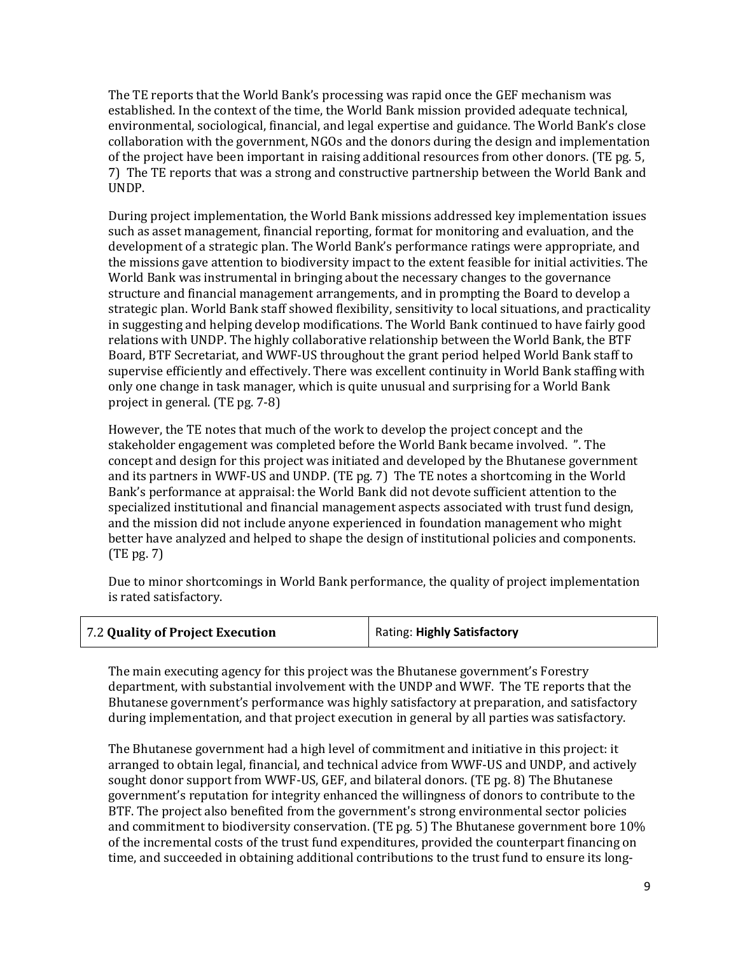The TE reports that the World Bank's processing was rapid once the GEF mechanism was established. In the context of the time, the World Bank mission provided adequate technical, environmental, sociological, financial, and legal expertise and guidance. The World Bank's close collaboration with the government, NGOs and the donors during the design and implementation of the project have been important in raising additional resources from other donors. (TE pg. 5, 7) The TE reports that was a strong and constructive partnership between the World Bank and UNDP.

During project implementation, the World Bank missions addressed key implementation issues such as asset management, financial reporting, format for monitoring and evaluation, and the development of a strategic plan. The World Bank's performance ratings were appropriate, and the missions gave attention to biodiversity impact to the extent feasible for initial activities. The World Bank was instrumental in bringing about the necessary changes to the governance structure and financial management arrangements, and in prompting the Board to develop a strategic plan. World Bank staff showed flexibility, sensitivity to local situations, and practicality in suggesting and helping develop modifications. The World Bank continued to have fairly good relations with UNDP. The highly collaborative relationship between the World Bank, the BTF Board, BTF Secretariat, and WWF-US throughout the grant period helped World Bank staff to supervise efficiently and effectively. There was excellent continuity in World Bank staffing with only one change in task manager, which is quite unusual and surprising for a World Bank project in general. (TE pg. 7-8)

However, the TE notes that much of the work to develop the project concept and the stakeholder engagement was completed before the World Bank became involved. ". The concept and design for this project was initiated and developed by the Bhutanese government and its partners in WWF-US and UNDP. (TE pg. 7) The TE notes a shortcoming in the World Bank's performance at appraisal: the World Bank did not devote sufficient attention to the specialized institutional and financial management aspects associated with trust fund design, and the mission did not include anyone experienced in foundation management who might better have analyzed and helped to shape the design of institutional policies and components. (TE pg. 7)

Due to minor shortcomings in World Bank performance, the quality of project implementation is rated satisfactory.

| 7.2 Quality of Project Execution | Rating: Highly Satisfactory |
|----------------------------------|-----------------------------|
|----------------------------------|-----------------------------|

The main executing agency for this project was the Bhutanese government's Forestry department, with substantial involvement with the UNDP and WWF. The TE reports that the Bhutanese government's performance was highly satisfactory at preparation, and satisfactory during implementation, and that project execution in general by all parties was satisfactory.

The Bhutanese government had a high level of commitment and initiative in this project: it arranged to obtain legal, financial, and technical advice from WWF-US and UNDP, and actively sought donor support from WWF-US, GEF, and bilateral donors. (TE pg. 8) The Bhutanese government's reputation for integrity enhanced the willingness of donors to contribute to the BTF. The project also benefited from the government's strong environmental sector policies and commitment to biodiversity conservation. (TE pg. 5) The Bhutanese government bore 10% of the incremental costs of the trust fund expenditures, provided the counterpart financing on time, and succeeded in obtaining additional contributions to the trust fund to ensure its long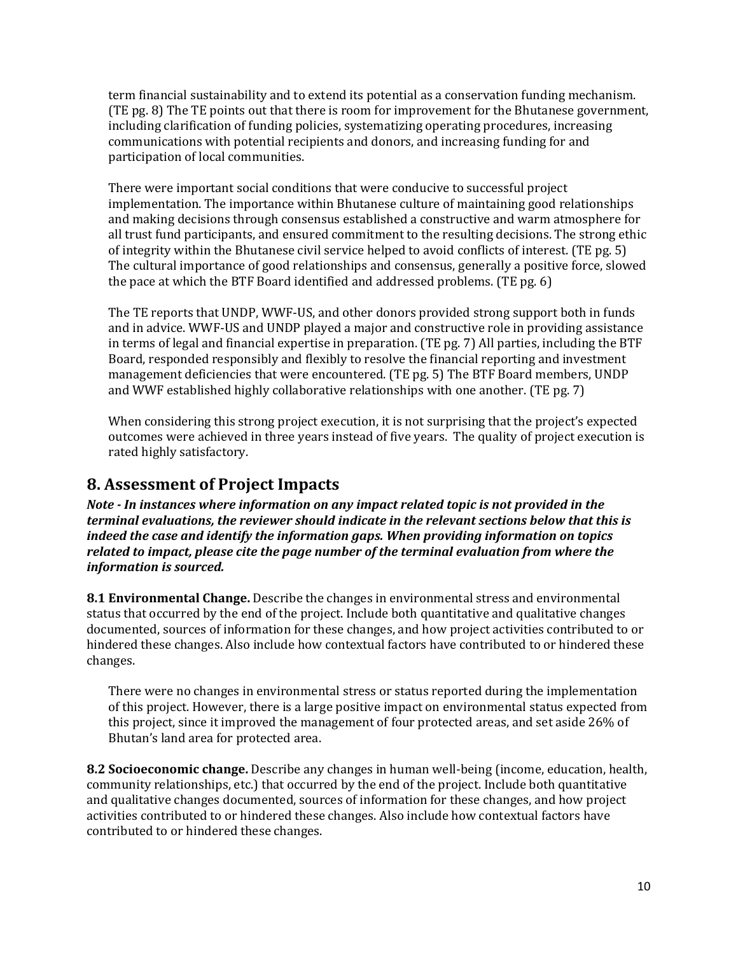term financial sustainability and to extend its potential as a conservation funding mechanism. (TE pg. 8) The TE points out that there is room for improvement for the Bhutanese government, including clarification of funding policies, systematizing operating procedures, increasing communications with potential recipients and donors, and increasing funding for and participation of local communities.

There were important social conditions that were conducive to successful project implementation. The importance within Bhutanese culture of maintaining good relationships and making decisions through consensus established a constructive and warm atmosphere for all trust fund participants, and ensured commitment to the resulting decisions. The strong ethic of integrity within the Bhutanese civil service helped to avoid conflicts of interest. (TE pg. 5) The cultural importance of good relationships and consensus, generally a positive force, slowed the pace at which the BTF Board identified and addressed problems. (TE pg. 6)

The TE reports that UNDP, WWF-US, and other donors provided strong support both in funds and in advice. WWF-US and UNDP played a major and constructive role in providing assistance in terms of legal and financial expertise in preparation. (TE pg. 7) All parties, including the BTF Board, responded responsibly and flexibly to resolve the financial reporting and investment management deficiencies that were encountered. (TE pg. 5) The BTF Board members, UNDP and WWF established highly collaborative relationships with one another. (TE pg. 7)

When considering this strong project execution, it is not surprising that the project's expected outcomes were achieved in three years instead of five years. The quality of project execution is rated highly satisfactory.

### **8. Assessment of Project Impacts**

*Note - In instances where information on any impact related topic is not provided in the terminal evaluations, the reviewer should indicate in the relevant sections below that this is indeed the case and identify the information gaps. When providing information on topics related to impact, please cite the page number of the terminal evaluation from where the information is sourced.* 

**8.1 Environmental Change.** Describe the changes in environmental stress and environmental status that occurred by the end of the project. Include both quantitative and qualitative changes documented, sources of information for these changes, and how project activities contributed to or hindered these changes. Also include how contextual factors have contributed to or hindered these changes.

There were no changes in environmental stress or status reported during the implementation of this project. However, there is a large positive impact on environmental status expected from this project, since it improved the management of four protected areas, and set aside 26% of Bhutan's land area for protected area.

**8.2 Socioeconomic change.** Describe any changes in human well-being (income, education, health, community relationships, etc.) that occurred by the end of the project. Include both quantitative and qualitative changes documented, sources of information for these changes, and how project activities contributed to or hindered these changes. Also include how contextual factors have contributed to or hindered these changes.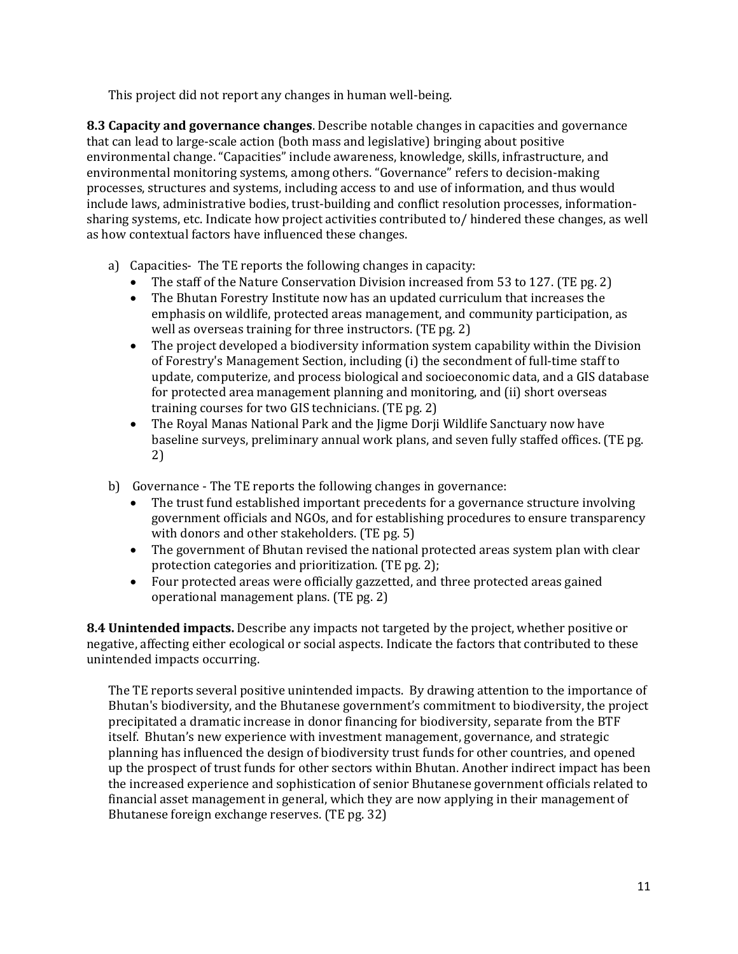This project did not report any changes in human well-being.

**8.3 Capacity and governance changes**. Describe notable changes in capacities and governance that can lead to large-scale action (both mass and legislative) bringing about positive environmental change. "Capacities" include awareness, knowledge, skills, infrastructure, and environmental monitoring systems, among others. "Governance" refers to decision-making processes, structures and systems, including access to and use of information, and thus would include laws, administrative bodies, trust-building and conflict resolution processes, informationsharing systems, etc. Indicate how project activities contributed to/ hindered these changes, as well as how contextual factors have influenced these changes.

- a) Capacities- The TE reports the following changes in capacity:
	- The staff of the Nature Conservation Division increased from 53 to 127. (TE pg. 2)
	- The Bhutan Forestry Institute now has an updated curriculum that increases the emphasis on wildlife, protected areas management, and community participation, as well as overseas training for three instructors. (TE pg. 2)
	- The project developed a biodiversity information system capability within the Division of Forestry's Management Section, including (i) the secondment of full-time staff to update, computerize, and process biological and socioeconomic data, and a GIS database for protected area management planning and monitoring, and (ii) short overseas training courses for two GIS technicians. (TE pg. 2)
	- The Royal Manas National Park and the Jigme Dorji Wildlife Sanctuary now have baseline surveys, preliminary annual work plans, and seven fully staffed offices. (TE pg. 2)
- b) Governance The TE reports the following changes in governance:
	- The trust fund established important precedents for a governance structure involving government officials and NGOs, and for establishing procedures to ensure transparency with donors and other stakeholders. (TE pg. 5)
	- The government of Bhutan revised the national protected areas system plan with clear protection categories and prioritization. (TE pg. 2);
	- Four protected areas were officially gazzetted, and three protected areas gained operational management plans. (TE pg. 2)

**8.4 Unintended impacts.** Describe any impacts not targeted by the project, whether positive or negative, affecting either ecological or social aspects. Indicate the factors that contributed to these unintended impacts occurring.

The TE reports several positive unintended impacts. By drawing attention to the importance of Bhutan's biodiversity, and the Bhutanese government's commitment to biodiversity, the project precipitated a dramatic increase in donor financing for biodiversity, separate from the BTF itself. Bhutan's new experience with investment management, governance, and strategic planning has influenced the design of biodiversity trust funds for other countries, and opened up the prospect of trust funds for other sectors within Bhutan. Another indirect impact has been the increased experience and sophistication of senior Bhutanese government officials related to financial asset management in general, which they are now applying in their management of Bhutanese foreign exchange reserves. (TE pg. 32)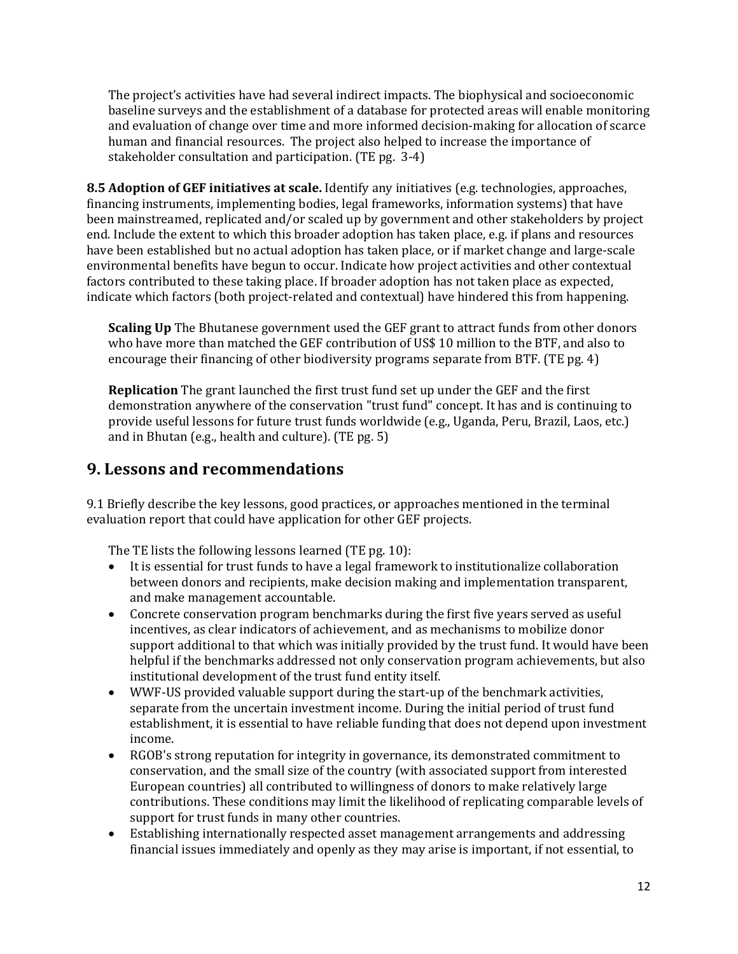The project's activities have had several indirect impacts. The biophysical and socioeconomic baseline surveys and the establishment of a database for protected areas will enable monitoring and evaluation of change over time and more informed decision-making for allocation of scarce human and financial resources. The project also helped to increase the importance of stakeholder consultation and participation. (TE pg. 3-4)

**8.5 Adoption of GEF initiatives at scale.** Identify any initiatives (e.g. technologies, approaches, financing instruments, implementing bodies, legal frameworks, information systems) that have been mainstreamed, replicated and/or scaled up by government and other stakeholders by project end. Include the extent to which this broader adoption has taken place, e.g. if plans and resources have been established but no actual adoption has taken place, or if market change and large-scale environmental benefits have begun to occur. Indicate how project activities and other contextual factors contributed to these taking place. If broader adoption has not taken place as expected, indicate which factors (both project-related and contextual) have hindered this from happening.

**Scaling Up** The Bhutanese government used the GEF grant to attract funds from other donors who have more than matched the GEF contribution of US\$ 10 million to the BTF, and also to encourage their financing of other biodiversity programs separate from BTF. (TE pg. 4)

**Replication** The grant launched the first trust fund set up under the GEF and the first demonstration anywhere of the conservation "trust fund" concept. It has and is continuing to provide useful lessons for future trust funds worldwide (e.g., Uganda, Peru, Brazil, Laos, etc.) and in Bhutan (e.g., health and culture). (TE pg. 5)

### **9. Lessons and recommendations**

9.1 Briefly describe the key lessons, good practices, or approaches mentioned in the terminal evaluation report that could have application for other GEF projects.

The TE lists the following lessons learned (TE pg. 10):

- It is essential for trust funds to have a legal framework to institutionalize collaboration between donors and recipients, make decision making and implementation transparent, and make management accountable.
- Concrete conservation program benchmarks during the first five years served as useful incentives, as clear indicators of achievement, and as mechanisms to mobilize donor support additional to that which was initially provided by the trust fund. It would have been helpful if the benchmarks addressed not only conservation program achievements, but also institutional development of the trust fund entity itself.
- WWF-US provided valuable support during the start-up of the benchmark activities, separate from the uncertain investment income. During the initial period of trust fund establishment, it is essential to have reliable funding that does not depend upon investment income.
- RGOB's strong reputation for integrity in governance, its demonstrated commitment to conservation, and the small size of the country (with associated support from interested European countries) all contributed to willingness of donors to make relatively large contributions. These conditions may limit the likelihood of replicating comparable levels of support for trust funds in many other countries.
- Establishing internationally respected asset management arrangements and addressing financial issues immediately and openly as they may arise is important, if not essential, to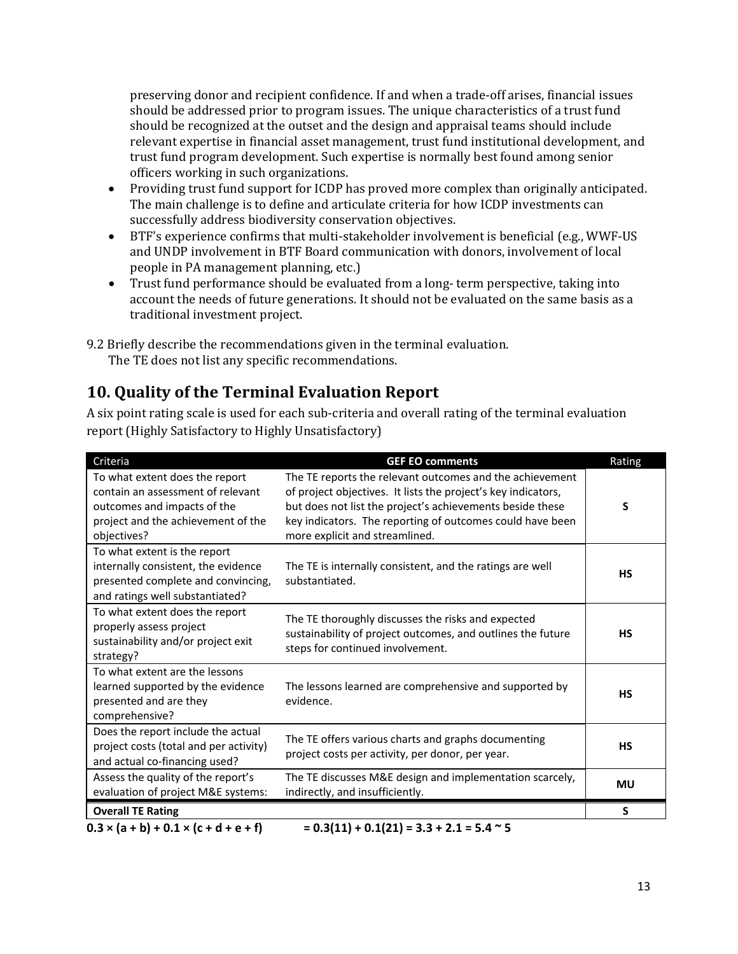preserving donor and recipient confidence. If and when a trade-off arises, financial issues should be addressed prior to program issues. The unique characteristics of a trust fund should be recognized at the outset and the design and appraisal teams should include relevant expertise in financial asset management, trust fund institutional development, and trust fund program development. Such expertise is normally best found among senior officers working in such organizations.

- Providing trust fund support for ICDP has proved more complex than originally anticipated. The main challenge is to define and articulate criteria for how ICDP investments can successfully address biodiversity conservation objectives.
- BTF's experience confirms that multi-stakeholder involvement is beneficial (e.g., WWF-US and UNDP involvement in BTF Board communication with donors, involvement of local people in PA management planning, etc.)
- Trust fund performance should be evaluated from a long- term perspective, taking into account the needs of future generations. It should not be evaluated on the same basis as a traditional investment project.

9.2 Briefly describe the recommendations given in the terminal evaluation. The TE does not list any specific recommendations.

### **10. Quality of the Terminal Evaluation Report**

A six point rating scale is used for each sub-criteria and overall rating of the terminal evaluation report (Highly Satisfactory to Highly Unsatisfactory)

| Criteria                                                                                                                                                | <b>GEF EO comments</b>                                                                                                                                                                                                                                                                | Rating    |
|---------------------------------------------------------------------------------------------------------------------------------------------------------|---------------------------------------------------------------------------------------------------------------------------------------------------------------------------------------------------------------------------------------------------------------------------------------|-----------|
| To what extent does the report<br>contain an assessment of relevant<br>outcomes and impacts of the<br>project and the achievement of the<br>objectives? | The TE reports the relevant outcomes and the achievement<br>of project objectives. It lists the project's key indicators,<br>but does not list the project's achievements beside these<br>key indicators. The reporting of outcomes could have been<br>more explicit and streamlined. | S         |
| To what extent is the report<br>internally consistent, the evidence<br>presented complete and convincing,<br>and ratings well substantiated?            | The TE is internally consistent, and the ratings are well<br>substantiated.                                                                                                                                                                                                           | <b>HS</b> |
| To what extent does the report<br>properly assess project<br>sustainability and/or project exit<br>strategy?                                            | The TE thoroughly discusses the risks and expected<br>sustainability of project outcomes, and outlines the future<br>steps for continued involvement.                                                                                                                                 | <b>HS</b> |
| To what extent are the lessons<br>learned supported by the evidence<br>presented and are they<br>comprehensive?                                         | The lessons learned are comprehensive and supported by<br>evidence.                                                                                                                                                                                                                   | <b>HS</b> |
| Does the report include the actual<br>project costs (total and per activity)<br>and actual co-financing used?                                           | The TE offers various charts and graphs documenting<br>project costs per activity, per donor, per year.                                                                                                                                                                               | <b>HS</b> |
| Assess the quality of the report's<br>evaluation of project M&E systems:                                                                                | The TE discusses M&E design and implementation scarcely,<br>indirectly, and insufficiently.                                                                                                                                                                                           | <b>MU</b> |
| <b>Overall TE Rating</b>                                                                                                                                |                                                                                                                                                                                                                                                                                       | S         |
| $0.3 \times (a + b) + 0.1 \times (c + d + e + f)$                                                                                                       | $= 0.3(11) + 0.1(21) = 3.3 + 2.1 = 5.4$ ~ 5                                                                                                                                                                                                                                           |           |